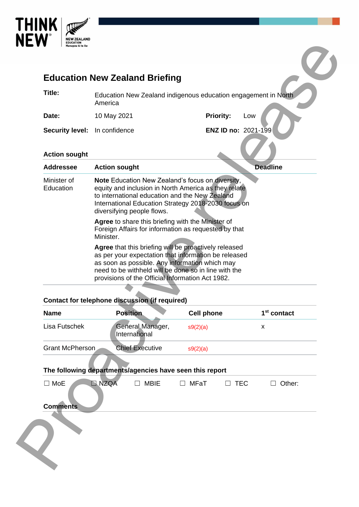

| Title:                                                                  | Education New Zealand indigenous education engagement in North                                                                                                                                                                                         |                               |                              |  |
|-------------------------------------------------------------------------|--------------------------------------------------------------------------------------------------------------------------------------------------------------------------------------------------------------------------------------------------------|-------------------------------|------------------------------|--|
|                                                                         | America                                                                                                                                                                                                                                                |                               |                              |  |
| Date:                                                                   | 10 May 2021                                                                                                                                                                                                                                            | <b>Priority:</b>              | Low                          |  |
| <b>Security level:</b>                                                  | In confidence                                                                                                                                                                                                                                          | ENZ ID no: 2021-199           |                              |  |
| <b>Action sought</b>                                                    |                                                                                                                                                                                                                                                        |                               |                              |  |
| <b>Addressee</b>                                                        | <b>Action sought</b>                                                                                                                                                                                                                                   |                               | <b>Deadline</b>              |  |
| Minister of<br>Education                                                | <b>Note</b> Education New Zealand's focus on diversity,<br>equity and inclusion in North America as they relate<br>to international education and the New Zealand<br>International Education Strategy 2018-2030 focus on<br>diversifying people flows. |                               |                              |  |
|                                                                         | Agree to share this briefing with the Minister of<br>Foreign Affairs for information as requested by that<br>Minister.                                                                                                                                 |                               |                              |  |
|                                                                         | Agree that this briefing will be proactively released<br>as per your expectation that information be released<br>as soon as possible. Any information which may                                                                                        |                               |                              |  |
|                                                                         | need to be withheld will be done so in line with the<br>provisions of the Official Information Act 1982.                                                                                                                                               |                               |                              |  |
|                                                                         | <b>Contact for telephone discussion (if required)</b>                                                                                                                                                                                                  |                               |                              |  |
|                                                                         | <b>Position</b><br>General Manager,<br>International                                                                                                                                                                                                   | <b>Cell phone</b><br>s9(2)(a) | 1 <sup>st</sup> contact<br>х |  |
|                                                                         | <b>Chief Executive</b>                                                                                                                                                                                                                                 | s9(2)(a)                      |                              |  |
|                                                                         |                                                                                                                                                                                                                                                        |                               |                              |  |
| <b>Name</b><br>Lisa Futschek<br><b>Grant McPherson</b><br>$\square$ MoE | The following departments/agencies have seen this report<br><b>NZQA</b><br>$\Box$ MBIE                                                                                                                                                                 | MFaT<br>$\Box$ TEC<br>$\Box$  | Other:<br>$\perp$            |  |
| <b>Comments</b>                                                         |                                                                                                                                                                                                                                                        |                               |                              |  |

# **Contact for telephone discussion (if required)**

| <b>Name</b>                                              | <b>Position</b>                   | <b>Cell phone</b> |            | 1 <sup>st</sup> contact |
|----------------------------------------------------------|-----------------------------------|-------------------|------------|-------------------------|
| Lisa Futschek                                            | General Manager,<br>International | s9(2)(a)          |            | X                       |
| <b>Grant McPherson</b>                                   | <b>Chief Executive</b>            | s9(2)(a)          |            |                         |
| The following departments/agencies have seen this report |                                   |                   |            |                         |
| <b>NZQA</b><br>MoE<br>$\blacksquare$<br><b>Comments</b>  | <b>MBIE</b><br>П                  | MFaT<br>$\Box$    | <b>TEC</b> | Other:                  |
|                                                          |                                   |                   |            |                         |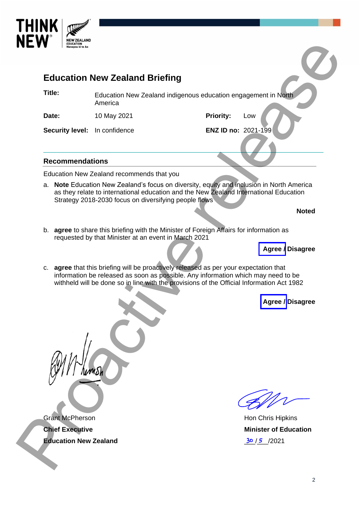

| <b>EDUCATION</b><br>Manapou ki te Ao                   |                                                                                                                                                                                                                                             |                     |                                                      |
|--------------------------------------------------------|---------------------------------------------------------------------------------------------------------------------------------------------------------------------------------------------------------------------------------------------|---------------------|------------------------------------------------------|
|                                                        | <b>Education New Zealand Briefing</b>                                                                                                                                                                                                       |                     |                                                      |
| Title:                                                 | Education New Zealand indigenous education engagement in North<br>America                                                                                                                                                                   |                     |                                                      |
| Date:                                                  | 10 May 2021                                                                                                                                                                                                                                 | <b>Priority:</b>    | Low                                                  |
| Security level: In confidence                          |                                                                                                                                                                                                                                             | ENZ ID no: 2021-199 |                                                      |
| <b>Recommendations</b>                                 |                                                                                                                                                                                                                                             |                     |                                                      |
|                                                        | Education New Zealand recommends that you                                                                                                                                                                                                   |                     |                                                      |
|                                                        | a. Note Education New Zealand's focus on diversity, equity and inclusion in North America<br>as they relate to international education and the New Zealand International Education<br>Strategy 2018-2030 focus on diversifying people flows |                     |                                                      |
|                                                        |                                                                                                                                                                                                                                             |                     | <b>Noted</b>                                         |
|                                                        | b. agree to share this briefing with the Minister of Foreign Affairs for information as<br>requested by that Minister at an event in March 2021<br>c. agree that this briefing will be proactively released as per your expectation that    |                     | Agree / Disagree                                     |
|                                                        | information be released as soon as possible. Any information which may need to be<br>withheld will be done so in line with the provisions of the Official Information Act 1982                                                              |                     |                                                      |
|                                                        |                                                                                                                                                                                                                                             |                     | Agree / Disagree                                     |
|                                                        |                                                                                                                                                                                                                                             |                     |                                                      |
| <b>Grant McPherson</b>                                 |                                                                                                                                                                                                                                             |                     | Hon Chris Hipkins                                    |
| <b>Chief Executive</b><br><b>Education New Zealand</b> |                                                                                                                                                                                                                                             |                     | <b>Minister of Education</b><br><u>30 / 5 / 2021</u> |
|                                                        |                                                                                                                                                                                                                                             |                     |                                                      |

Hon Chris Hipkins **Minister of Education**  $30/5$  /2021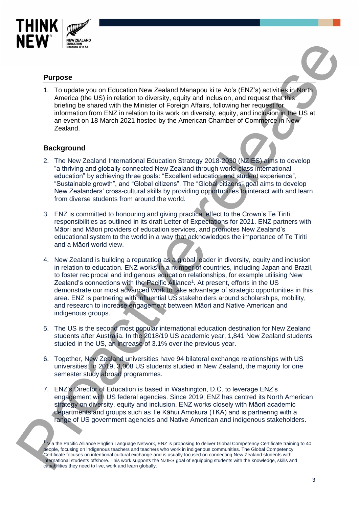

## **Purpose**

1. To update you on Education New Zealand Manapou ki te Ao's (ENZ's) activities in North America (the US) in relation to diversity, equity and inclusion, and request that this briefing be shared with the Minister of Foreign Affairs, following her request for information from ENZ in relation to its work on diversity, equity, and inclusion in the US at an event on 18 March 2021 hosted by the American Chamber of Commerce in New Zealand.

## **Background**

- 2. The New Zealand International Education Strategy 2018-2030 (NZIES) aims to develop "a thriving and globally connected New Zealand through world-class international education" by achieving three goals: "Excellent education and student experience", "Sustainable growth", and "Global citizens". The "Global citizens" goal aims to develop New Zealanders' cross-cultural skills by providing opportunities to interact with and learn from diverse students from around the world.
- 3. ENZ is committed to honouring and giving practical effect to the Crown's Te Tiriti responsibilities as outlined in its draft Letter of Expectations for 2021. ENZ partners with Māori and Māori providers of education services, and promotes New Zealand's educational system to the world in a way that acknowledges the importance of Te Tiriti and a Māori world view.
- 4. New Zealand is building a reputation as a global leader in diversity, equity and inclusion in relation to education. ENZ works in a number of countries, including Japan and Brazil, to foster reciprocal and indigenous education relationships, for example utilising New Zealand's connections with the Pacific Alliance<sup>1</sup>. At present, efforts in the US demonstrate our most advanced work to take advantage of strategic opportunities in this area. ENZ is partnering with influential US stakeholders around scholarships, mobility, and research to increase engagement between Māori and Native American and indigenous groups. **Propose**<br> **Paryose**<br>
1. To underly vuonn Education New Zealand Manageu iš te Adv (ENZ) a stresses processes.<br>
A mesca (the US) in validation de versity, equity are included in the temperature of the US) in validation of
	- 5. The US is the second most popular international education destination for New Zealand students after Australia. In the 2018/19 US academic year, 1,841 New Zealand students studied in the US, an increase of 3.1% over the previous year.
	- 6. Together, New Zealand universities have 94 bilateral exchange relationships with US universities. In 2019, 3,008 US students studied in New Zealand, the majority for one semester study abroad programmes.
	- 7. ENZ's Director of Education is based in Washington, D.C. to leverage ENZ's engagement with US federal agencies. Since 2019, ENZ has centred its North American strategy on diversity, equity and inclusion. ENZ works closely with Māori academic departments and groups such as Te Kāhui Amokura (TKA) and is partnering with a range of US government agencies and Native American and indigenous stakeholders.

<sup>1</sup> Via the Pacific Alliance English Language Network, ENZ is proposing to deliver Global Competency Certificate training to 40 people, focusing on indigenous teachers and teachers who work in indigenous communities. The Global Competency Certificate focuses on intentional cultural exchange and is usually focused on connecting New Zealand students with international students offshore. This work supports the NZIES goal of equipping students with the knowledge, skills and capabilities they need to live, work and learn globally.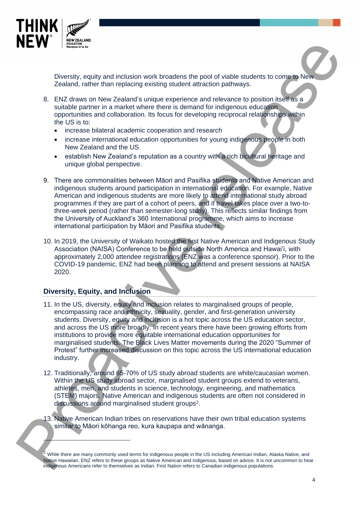

Diversity, equity and inclusion work broadens the pool of viable students to come to New Zealand, rather than replacing existing student attraction pathways.

- 8. ENZ draws on New Zealand's unique experience and relevance to position itself as a suitable partner in a market where there is demand for indigenous education opportunities and collaboration. Its focus for developing reciprocal relationships within the US is to:
	- increase bilateral academic cooperation and research
	- increase international education opportunities for young indigenous people in both New Zealand and the US
	- establish New Zealand's reputation as a country with a rich bicultural heritage and unique global perspective.
- 9. There are commonalities between Māori and Pasifika students and Native American and indigenous students around participation in international education. For example, Native American and indigenous students are more likely to attend international study abroad programmes if they are part of a cohort of peers, and if travel takes place over a two-tothree-week period (rather than semester-long study). This reflects similar findings from the University of Auckland's 360 International programme, which aims to increase international participation by Māori and Pasifika students.
- 10. In 2019, the University of Waikato hosted the first Native American and Indigenous Study Association (NAISA) Conference to be held outside North America and Hawai'i, with approximately 2,000 attendee registrations (ENZ was a conference sponsor). Prior to the COVID-19 pandemic, ENZ had been planning to attend and present sessions at NAISA 2020.

# **Diversity, Equity, and Inclusion**

- 11. In the US, diversity, equity and inclusion relates to marginalised groups of people, encompassing race and ethnicity, sexuality, gender, and first-generation university students. Diversity, equity and inclusion is a hot topic across the US education sector, and across the US more broadly. In recent years there have been growing efforts from institutions to provide more equitable international education opportunities for marginalised students. The Black Lives Matter movements during the 2020 "Summer of Protest" further increased discussion on this topic across the US international education industry. **Processor and the set of the set of the set of the set of the set of the set of the set of the set of the set of the set of the set of the set of the set of the set of the set of the set of the set of the set of the set** 
	- 12. Traditionally, around 65-70% of US study abroad students are white/caucasian women. Within the US study abroad sector, marginalised student groups extend to veterans, athletes, men, and students in science, technology, engineering, and mathematics (STEM) majors. Native American and indigenous students are often not considered in discussions around marginalised student groups<sup>2</sup>.
	- 13. Native American Indian tribes on reservations have their own tribal education systems similar to Māori kōhanga reo, kura kaupapa and wānanga.

<sup>&</sup>lt;sup>2</sup> While there are many commonly used terms for indigenous people in the US including American Indian, Alaska Native, and Native Hawaiian, ENZ refers to these groups as Native American and indigenous, based on advice. It is not uncommon to hear indigenous Americans refer to themselves as Indian. First Nation refers to Canadian indigenous populations.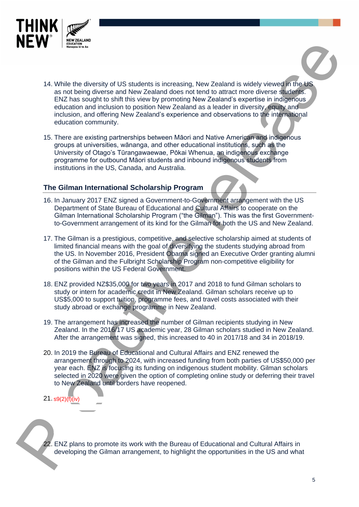

- 14. While the diversity of US students is increasing, New Zealand is widely viewed in the US as not being diverse and New Zealand does not tend to attract more diverse students. ENZ has sought to shift this view by promoting New Zealand's expertise in indigenous education and inclusion to position New Zealand as a leader in diversity, equity and inclusion, and offering New Zealand's experience and observations to the international education community. **PCFV**<br> **PERIMENTED**<br> **EXAMPLE TO US contents is increasing New Zealand is widely viewed for the stars and the stars and the stars and helion and the stars and helion constitute release and observe for the stars and the s** 
	- 15. There are existing partnerships between Māori and Native American and indigenous groups at universities, wānanga, and other educational institutions, such as the University of Otago's Tūrangawaewae, Pōkai Whenua, an indigenous exchange programme for outbound Māori students and inbound indigenous students from institutions in the US, Canada, and Australia.

## **The Gilman International Scholarship Program**

- 16. In January 2017 ENZ signed a Government-to-Government arrangement with the US Department of State Bureau of Educational and Cultural Affairs to cooperate on the Gilman International Scholarship Program ("the Gilman"). This was the first Governmentto-Government arrangement of its kind for the Gilman for both the US and New Zealand.
- 17. The Gilman is a prestigious, competitive, and selective scholarship aimed at students of limited financial means with the goal of diversifying the students studying abroad from the US. In November 2016, President Obama signed an Executive Order granting alumni of the Gilman and the Fulbright Scholarship Program non-competitive eligibility for positions within the US Federal Government.
- 18. ENZ provided NZ\$35,000 for two years in 2017 and 2018 to fund Gilman scholars to study or intern for academic credit in New Zealand. Gilman scholars receive up to US\$5,000 to support tuition, programme fees, and travel costs associated with their study abroad or exchange programme in New Zealand.
- 19. The arrangement has increased the number of Gilman recipients studying in New Zealand. In the 2016/17 US academic year, 28 Gilman scholars studied in New Zealand. After the arrangement was signed, this increased to 40 in 2017/18 and 34 in 2018/19.
- 20. In 2019 the Bureau of Educational and Cultural Affairs and ENZ renewed the arrangement through to 2024, with increased funding from both parties of US\$50,000 per year each. ENZ is focusing its funding on indigenous student mobility. Gilman scholars selected in 2020 were given the option of completing online study or deferring their travel to New Zealand until borders have reopened.
- 21. s9(2)(f)(iv)

22. ENZ plans to promote its work with the Bureau of Educational and Cultural Affairs in developing the Gilman arrangement, to highlight the opportunities in the US and what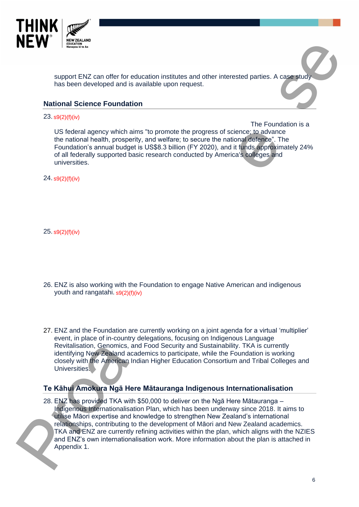

support ENZ can offer for education institutes and other interested parties. A case study has been developed and is available upon request.

### **National Science Foundation**

#### 23. s9(2)(f)(iv)

 The Foundation is a US federal agency which aims "to promote the progress of science; to advance the national health, prosperity, and welfare; to secure the national defence". The Foundation's annual budget is US\$8.3 billion (FY 2020), and it funds approximately 24% of all federally supported basic research conducted by America's colleges and universities.

24. s9(2)(f)(iv)

25. s9(2)(f)(iv)

- 26. ENZ is also working with the Foundation to engage Native American and indigenous youth and rangatahi. s9(2)(f)(iv)
- 27. ENZ and the Foundation are currently working on a joint agenda for a virtual 'multiplier' event, in place of in-country delegations, focusing on Indigenous Language Revitalisation, Genomics, and Food Security and Sustainability. TKA is currently identifying New Zealand academics to participate, while the Foundation is working closely with the American Indian Higher Education Consortium and Tribal Colleges and Universities.

# **Te Kāhui Amokura Ngā Here Mātauranga Indigenous Internationalisation**

28. ENZ has provided TKA with \$50,000 to deliver on the Ngā Here Mātauranga – Indigenous Internationalisation Plan, which has been underway since 2018. It aims to utilise Māori expertise and knowledge to strengthen New Zealand's international relationships, contributing to the development of Māori and New Zealand academics. TKA and ENZ are currently refining activities within the plan, which aligns with the NZIES and ENZ's own internationalisation work. More information about the plan is attached in Appendix 1. **Processor Control of the Control of the Control of the Control of the Control of the Control of the Control of the Control of the Control of the Control of the Control of the Control of the Control of the Control of the C**